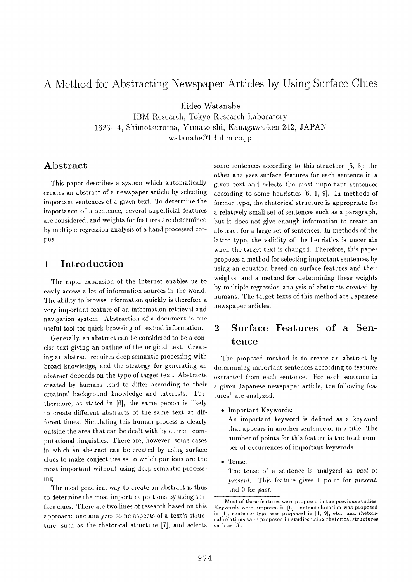# **A Method for Abstracting Newspaper Articles by Using Surface Clues**

Hideo Watanabe

IBM Research, Tokyo Research Laboratory 1623-14, Shimotsuruma, Yamato-shi, Kanagawa-ken 242, JAPAN watanabe@trl.ibm.co.jp

## **Abstract**

This paper describes a system which automatically creates an abstract of a newspaper article by selecting important sentences of a given text. To determine the importance of a sentence, several superficial features are considered, and weights for features are determined by multiple-regression analysis of a hand processed corpus.

# **1 Introduction**

The rapid expansion of the Internet enables us to easily access a lot of information sources in the world. The ability to browse information quickly is therefore a very important feature of an information retrieval and navigation system. Abstraction of a document is one useful tool for quick browsing of textual information.

Generally, an abstract can be considered to be a concise text giving an outline of the original text. Creating an abstract requires deep semantic processing with broad knowledge, and the strategy for generating an abstract depends on the type of target text. Abstracts created by humans tend to differ according to their creators' background knowledge and interests. Furthermore, as stated in [6], the same person is likely to create different abstracts of the same text at different times. Simulating this human process is clearly outside the area that can be dealt with by current computational linguistics. There are, however, some cases in which an abstract can be created by using surface clues to make conjectures as to which portions are the most important without using deep semantic processing.

The most practical way to create an abstract is thus to determine the most important portions by using surface clues. There are two lines of research based on this approach: one analyzes some aspects of a text's structure, such as the rhetorical structure [7], and selects some sentences according to this structure [5, 3]; the other analyzes surface features for each sentence in a given text and selects the most important sentences according to some heuristics [6, 1, 9]. In methods of former type, the rhetorical structure is appropriate for a relatively small set of sentences such as a paragraph, but it does not give enough information to create an abstract for a large set of sentences. In methods of the latter type, the validity of the heuristics is uncertain when the target text is changed. Therefore, this paper proposes a method for selecting important sentences by using an equation based on surface features and their weights, and a method for determining these weights by multiple-regression analysis of abstracts created by humans. The target texts of this method are Japanese newspaper articles.

# **2** Surface Features of a Sentence

The proposed method is to create an abstract by determining important sentences according to features extracted from each sentence. For each sentence in a given Japanese newspaper article, the following fea $tures<sup>1</sup>$  are analyzed:

• Important Keywords:

An important keyword is defined as a keyword that appears in another sentence or in a title. The number of points for this feature is the total number of occurrences of important keywords.

• Tense:

The tense of a sentence is analyzed as *past* or *present.* This feature gives 1 point for *present,*  and 0 for *past.* 

 $1$  Most of these features were proposed in the previous studies. Keywords were proposed in [6], sentence location was proposed in [1], sentence type was proposed in [1, 9], etc., and rhetorica] relations were proposed in studies using rhetorical structures such as  $[3]$ .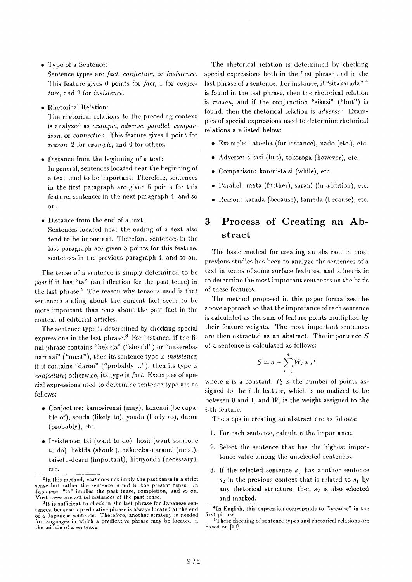• Type of a Sentence:

Sentence types are *fact, conjecture,* or *insistence.*  This feature gives 0 points for *fact,* 1 for *conjec*ture, and 2 for *insistence.* 

• Rhetorical Relation:

The rhetorical relations to the preceding context is analyzed as *example, adverse, parallel, comparison,* or *connection.* This feature gives 1 point for *reason,* 2 for *example,* and 0 for others.

- Distance from the beginning of a text: In general, sentences located near the beginning of a text tend to be important. Therefore, sentences in the first paragraph are given 5 points for this feature, sentences in the next paragraph 4, and so on.
- Distance from the end of a text: Sentences located near the ending of a text also tend to be important. Therefore, sentences in the last paragraph are given 5 points for this feature, sentences in the previous paragraph 4, and so on.

The tense of a sentence is simply determined to be *past* if it has "ta" (an inflection for the past tense) in the last phrase.<sup>2</sup> The reason why tense is used is that sentences stating about the current fact seem to be more important than ones about the past fact in the context of editorial articles.

The sentence type is determined by checking special expressions in the last phrase.<sup>3</sup> For instance, if the final phrase contains "bekida" ("should") or "nakerebanaranai" ("must"), then its sentence type is *insistence;*  if it contains "darou" ("probably ..."), then its type is *conjecture;* otherwise, its type is *fact.* Examples of special expressions used to determine sentence type are as follows:

- Conjecture: kamosirenal (may), kanenai (be capable of), souda (likely to), youda (likely to), darou (probably), etc.
- Insistence: tai (want to do), hosii (want someone to do), bekida (should), nakereba-naranai (must), taisetu-dearu (important), hituyouda (necessary), etc.

The rhetorical relation is determined by checking special expressions both in the first phrase and in the last phrase of a sentence. For instance, if "sitakarada" 4 is found in the last phrase, then the rhetorical relation is *reason*, and if the conjunction "sikasi" ("but") is found, then the rhetorical relation is *adverse. 5* Examples of special expressions used to determine rhetorical relations are listed below:

- Example: tatoeba (for instance), nado (etc.), etc.
- Adverse: sikasi (but), tokoroga (however), etc.
- Comparison: koreni-taisi (while), etc.
- Parallel: mata (further), sarani (in addition), etc.
- Reason: karada (because), tameda (because), etc.

# **3** Process of Creating an Abstract

The basic method for creating an abstract in most previous studies has been to analyze the sentences of a text in terms of some surface features, and a heuristic to determine the most important sentences on the basis of these features.

The method proposed in this paper formalizes the above approach so that the importance of each sentence is calculated as the sum of feature points multiplied by their feature weights. The most important sentences are then extracted as an abstract. The importance  $S$ of a sentence is calculated as follows:

$$
S = a + \sum_{i=1}^{n} W_i * P_i
$$

where  $a$  is a constant,  $P_i$  is the number of points assigned to the  $i$ -th feature, which is normalized to be between 0 and 1, and  $W_i$  is the weight assigned to the i-th feature.

The steps in creating an abstract are as follows:

- 1. For each sentence, calculate the importance.
- 2. Select the sentence that has the highest importance value among the unselected sentences.
- 3. If the selected sentence  $s_1$  has another sentence  $s_2$  in the previous context that is related to  $s_1$  by any rhetorical structure, then  $s_2$  is also selected and marked.

<sup>&</sup>lt;sup>2</sup>In this method, *past* does not imply the past tense in a strict sense but rather the sentence is not in the present tense. In Japanese, "ta" implies the past tense, completion, and so on. Most cases are actual instances of the past tense.

 $n_1$  is sufficient to check in the last phrase for Japanese sentences, because a predicative phrase is always located at the end of a Japanese sentence. Therefore, another strategy is needed for languages in which a predicative phrase may be located in the middle of a sentence.

<sup>&</sup>lt;sup>4</sup>In English, this expression corresponds to "because" in the first phrase.

<sup>&</sup>lt;sup>5</sup>These checking of sentence types and rhetorical relations are based on [10].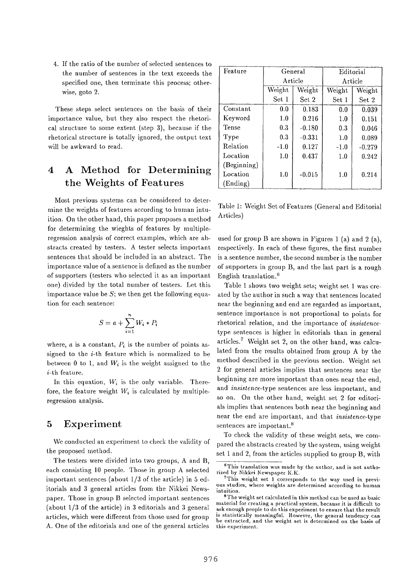4. If the ratio of the number of selected sentences to the number of sentences in the text exceeds the specified one, then terminate this process; otherwise, goto 2.

These steps select sentences on the basis of their importance value, but they also respect the rhetorical structure to some extent (step 3), because if the rhetorical structure is totally ignored, the output text will be awkward to read.

# **4 A Method for Determining the Weights of Features**

Most previous systems can be considered to determine the weights of features according to human intuition. On the other hand, this paper proposes a method for determining the wieghts of features by multipleregression analysis of correct examples, which are abstracts created by testers. A tester selects important sentences that should be included in an abstract. The importance value of a sentence is defined as the number of supporters (testers who selected it as an important one) divided by the total number of testers. Let this importance value be  $S$ ; we then get the following equation for each sentence:

$$
S = a + \sum_{i=1}^{n} W_i * P_i
$$

where,  $a$  is a constant,  $P_i$  is the number of points assigned to the  $i$ -th feature which is normalized to be between 0 to 1, and  $W_i$  is the weight assigned to the i-th feature.

In this equation,  $W_i$  is the only variable. Therefore, the feature weight  $W_i$  is calculated by multipleregression analysis.

## **5 Experiment**

We conducted an experiment to check the validity of the proposed method.

The testers were divided into two groups, A and B, each consisting 10 people. Those in group A selected important sentences (about 1/3 of the article) in 5 editorials and 3 general articles from the Nikkei Newspaper. Those in group B selected important sentences (about 1/3 of the article) in 3 editorials and 3 general articles, which were different from those used for group A. One of the editorials and one of the general articles

| Feature     | General |          | Editorial |          |
|-------------|---------|----------|-----------|----------|
|             | Article |          | Article   |          |
|             | Weight  | Weight   | Weight    | Weight   |
|             | Set 1   | Set 2    | Set 1     | Set 2    |
| Constant    | 0.0     | 0.183    | 0.0       | 0.039    |
| Keyword     | 1.0     | 0.216    | 1.0       | 0.151    |
| Tense       | 0.3     | $-0.180$ | 0.3       | 0.046    |
| Type        | 0.3     | $-0.331$ | 1.0       | 0.089    |
| Relation    | $-1.0$  | 0.127    | $-1.0$    | $-0.279$ |
| Location    | 1.0     | 0.437    | 1.0       | 0.242    |
| (Beginning) |         |          |           |          |
| Location    | 1.0     | $-0.015$ | 1.0       | 0.214    |
| (Ending)    |         |          |           |          |

Table 1: Weight Set of Features (General and Editorial Articles)

used for group B are shown in Figures 1 (a) and 2 (a), respectively. In each of these figures, the first number is a sentence number, the second number is the number of supporters in group B, and the last part is a rough English translation.<sup>6</sup>

Table 1 shows two weight sets; weight set 1 was created by the author in such a way that sentences located near the beginning and end are regarded as important, sentence importance is not proportional to points for rhetorical relation, and the importance of *insistence*type sentences is higher in editorials than in general articles.<sup>7</sup> Weight set 2, on the other hand, was calculated from the results obtained from group A by the method described in the previous section. Weight set 2 for general articles implies that sentences near the beginning are more important than ones near the end, and *insistence-type* sentences are less important, and so on. On the other hand, weight set 2 for editorials implies that sentences both near the beginning and near the end are important, and that *insistence-type*  sentences are important.<sup>8</sup>

To check the validity of these weight sets, we compared the abstracts created by the system, using weight set 1 and 2, from the articles supplied to group B, with

 $6$ This translation was made by the author, and is not authorized by Nikkei Newspaper K.K.

<sup>7</sup>This weight set 1 corresponds to the way used in previous studies, where weights are determined according to human intuition.

<sup>8</sup>The weight set calculated in this method can be used as basic material for creating a practical system, because it is difficult to ask enough people to do this experiment to ensure that the result is statistically meaningful. However, the general tendency can be extracted, and the weight set is determined on the basis of this experiment.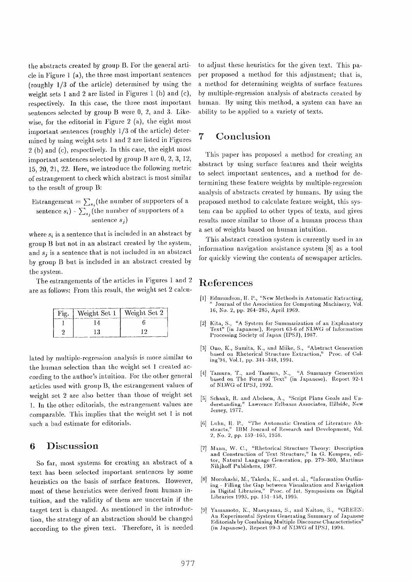the abstracts created by group B. For the general article in Figure 1 (a), the three most important sentences (roughly 1/3 of the article) determined by using the weight sets 1 and 2 are listed in Figures 1 (b) and (c), respectively. In this case, the three most important sentences selected by group B were  $0, 2,$  and 3. Likewise, for the editorial in Figure 2 (a), the eight most important sentences (roughly  $1/3$  of the article) determined by using weight sets 1 and 2 are listed in Figures 2 (b) and (c), respectively, in this case, the eight most important sentences selected by group B are  $0, 2, 3, 12$ , 15, 20, 21, 22. Here, we introduce the following metric of estrangement to check which abstract is most similar to the result of group B:

Estrangement  $= \sum_{s_i}$ (the number of supporters of a sentence  $s_i$ ) -  $\sum_{s_i}$  (the number of supporters of a sentence *s j)* 

where  $s_i$  is a sentence that is included in an abstract by group B but not in an abstract created by the system, and  $s_i$  is a sentence that is not included in an abstract by group B but is included in an abstract created by the system.

The estrangements of the articles in Figures 1 and 2 are as follows: From this result, the weight set 2 calcu-

| Fig.   Weight Set 1   Weight Set 2 |  |
|------------------------------------|--|
|                                    |  |
|                                    |  |

lated by multiple-regression analysis is more similar to the human selection than the weight set 1 created according to the author's intuition. For the other general [4] articles used with group B, the estrangement values of weight set 2 are also better than those of weight set 1. In the other editorials, the estrangement values arc comparable. This implies that the weight set I is not such a bad estimate for editorials.

### **6 Discussion** [71

So far, most systems for creating an abstract of a text has been selected important sentences by some heuristics on the basis of surface features. However, [8] most of these heuristics were derived from human intuition, and the validity of them are uncertain if the target text is changed. As mentioned in the introduc- [9] tion, the strategy of an abstraction should be changed according to the given text. Therefore, it is needed

to adjust these heuristics for the given text. This paper proposed a method for this adjustment; that is, a method for determining weights of surface features by multiple-regression analysis of abstracts created by human. By using this method, a system can have an ability to be applied to a variety of texts.

## **7 Conclusion**

This paper has proposed a method for creating an abstract by using surface features and their weights to select important sentences, and a method for determining these feature weights by multiple-regression analysis of abstracts created by humans. By using the proposed method to calculate feature weight, this system can be applied to other types of texts, and gives results more similar to those of a human process than a set of weights based on human intuition.

This abstract creation system is currently used in an information navigation assistance system [8] as a tool for quickly viewing the contents of newspaper articles.

## References

- [1] Edmundson, II. P., "New Methods in Automatic Extracting, Journal of the Association for Computing Machinery, Vol. 16, No. 2, pp. 264-285, April 1969.
- **[2]**  Kita, S., *"A* System for Summarization of au Explanatory Text" (in Japanese), Report 63-6 of NLWG of Information Processing Society of Japan (IPSJ), 1987.
- **[,3]**  Ono, K., Sumita, K., and Miike, S., "Abstract Generation based on Rhetorical Structure Extraction," Proc. of Coling'94, Vol.1, pp. 344-348, 1994.
- Tamura, '17., and Tamura, N., "A Summary Generation based on The Form of Text" (in Japanese), Report 92-t of NLWG of IPSJ, 1992.
- [5] Schank, R. and Abelson, A., "Script Plans Goals and Understanding," Lawrence Frlbaum Associates, Hillside, New Jersey, 1977.
- Luhn, H. P., "The Automatic Creation of Literature Abstracts," IIIM Journal of Research and Development, Vol. 2, No. 2, pp. 159-165, 1958.
- Mann, W. C., "Rhetorical Structure Theory: Description *and Construction* of Text Structure," In G. Kempen, editor, Natural Lauguage Generation, pp. 279-300, Martiuus Nihjhoff Publishers, 1987.
- Morohashi, M., Takeda, K., and et. al., "Information Outlining - Filling tile Gap between Visualization and Navigation in Digital Libraries," Proc. of Int. Symposium on Digital Libraries 1995, pp. 151-158, 1995.
- Yamamoto, K., Masuyama, S., and Naitou, S., "GREEN: An Experimental System Generating Summary of Japanese Editorials by Combining Multiple Discourse Characteristics' (in Japanese), Report 99-3 of NLWG of IPSJ, 1994.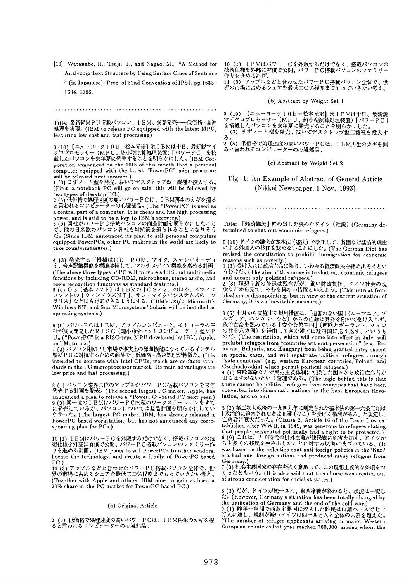[10] Watanabe, H., Tsujii, J., and Nagao, M., "A Method for Analyzing Text Structure by Using Surface Clues of Sentence " (in Japanese), Proc. of 32nd Convention of IPSJ, pp.1633-

1634, 1986.

Title: 最新鋭MP U搭載パソコン、IBM、来夏発売 ---低価格·高速 如理を実現。(IBM to release PC equipped with the latest MPU, featuring low cost and fast processing)

0 (10) 【ニューヨーク10日=松本元裕】米IBMは十日、最新鋭マイ<br>クロプロセッサー(MPU、超小型演算処理装置)「パワーPC」を搭<br>載したパソコンを来年夏に発売することを明らかにした。(IBM Corporation announced on the 10th of this month that a personal computer equipped with the latest "PowerPC" microprocessor

will be released next summer.)<br>1 (3) まずノート型を発売、続いてデスクトップ型二機種を投入する。 (First, a notebook PC will go on sale; this will be followed by two types of desktop **PC.)**<br>
2 (5) 低価格で処理速度の高いパワーPCは、IBM再生のカギを握る<br>
2 (5) 低価格で処理速度の高いパワーPCは、IBM再生のカギを握る

と言われるコンピューターの心臓部品。(The "PowerPC" is used as a central part of a computer. It is cheap and has high processing power, and is said to be a key to IBM's recovery.)

**Y£o** (Since IBM announced its plan to sell personal computers equipped PowerPCs, other PC makers in the world are likely to take countermeasures.)

4 (3) 発売する三機種はCD一ROM、マイク、ステレオオーディ<br>オ、音声認識機能を標準装備して、マルチメディア機能を高める計画。 (The above three types of PC will provide additional multimedia functions by including CD-ROM, microphone, stereo audio, and voice recognition functions as standard features.)

5 (0) OS(基本ソフト)はIBMの丨OS/2」のほか、米マイク<br>ロソフトの「ウィンドウズNT」、サン・マイクロシステムズの「ソ ラリス] などにも対応できるようにする。(IBM's OS/2, Microsoft's Windows NT, and Sun Microsystems' Solaris will be installed as operating systems.)

6 (0) パワーPCはIBM、アップルコンビュータ、モトローラの三 Uo ("PowerPC" is a RISC-type MPU developed by IBM, Apple, and Motorola.)

7 (2) パソコン用MP U市場で事実上の標準機種になっているインテル 製MPUに対抗するための商品で、低価格・高速処理が特徴だ。(It isintended to compete with Intel CPUs, which are de-facto standards in the PC microprocessor market. Its main advantages are low price and fast processing.)

発売する計画を発表。(The second largest PC maker, Apple, has announced a plan to release a "PowerPC"-based PC next year.) なかった。(The largest PC maker, IBM, has already released a PowerPC-based workstation, but has not announced any corresponding plan for PCs.)

10 (1) I BMはパワーPCを外販するだけでなく、搭載パソコンの技<br>術仕様を外部に有償で公開、パワーPC搭載パソコンのファミリー作 りを進める計画。(IBM plans to sell PowerPCs to other vendors, license the technology, and create a family of PowerPC-based

PC.)<br>11 (3) アップルなどと合わせたパワーPC搭載パソコン全体で、世<br>界の市場に占めるシェアを最低二〇%程度までもっていきたい考え。 (Together with Apple and others, IBM aims to gain at least a 20% share in the PC market for PowerPC-based PC.)

### (a) Original Article

2 (5) 低価格で処理速度の高いパワーPCは、I BM再生のカギを握<br>ると言われるコンピューターの心臓部品。

10 (1) IBMはパワーPCを外販するだけでなく、搭載パソコンの<br>技術仕様を外部に有償で公開、パワーPC搭載パソコンのファミリー 作りを進める計画。

11 (3) 7'~7"~P\*3~'~b-~f~ZlT--PC~i~']~:,~:~k'~, ~:

(b) Abstract by Weight Set 1

o (10) 【ニューヨーク10日=松本元裕】米IBMは十日、最新鋭<br>マイクロプロセッサー(MPU、超小型演算処理装置)「パワーPC」<br>を搭載したパソコンを来年夏に発売することを明らかにした。<br>1(3)まずノート型を発売、続いてデスクトップ型二機種を投入す

る。<br>2(5)低価格で処理速度の高いパワーPCは、IBM再生のカギを握<br>ると言われるコンピューターの心臓部品。

(c) Abstract by Weight Set 2

Fig. 1: An Example of Abstract of General Article (Nikkei Newspaper, 1 Nov. 1993)

Title: 「経済難民」締め出しを決めたドイツ (社説) (Germany determined to shut out economic refugees.)

0 (10)ドイツの議会が基本法 (憲法) を改正して、貧困など経済的理由<br>による外国人の移住を認めないことにした。(The German Diet has revised the constitution to prohibit immigration for economic reasons such as poverty.)

 $\gamma$   $\bar{\nu}$ )  $\tau$  (The aim of this move is to shut out economic refugees and accept only political refugees.)

状などから見て、やむを得ない措置といえよう。(This retreat from idealism is disappointing, but in view of the current situation of Germany, it is an inevitable measure.)

 $\mathcal{O}t_{\infty}^{2}$  (The restriction, which will come into effect in July, will prohibit refugees from "countries without persecution" (e.g. Romania, Bulgaria, and Hungary) from being granted entry except in special cases, and will repatriate political refugees through "safe countries" (e.g. western European countries, Poland, and Czechoslovakia) which permit political refugees.)

4(1) 東欧革命などで民王王義体制に転換した国々から政治亡命者 出るはずがないという論理である。(The logic behind this is that there cannot be political refugees from countries that have been converted into democratic nations by the East European Revolution, and so on.)

*l~@.\*~:-'~;tqfzof:.o* (Clause 2, Article 16 of the Basic Law established after WWlI, in 1949, was generous to refugees stating that people persecuted politically had a right to be protected.)<br>6 (0) これは、ナチ時代の排外主義が他民族に危害を加え、ドイツからも多くの移民を生み出したことに対する反省に基づいている。(It was based on the reflection that anti-foreign policies in the 'Nazi' era had hurt foreign nations and produced many refugees from Germany.)

 $\zeta \circ \zeta \in \mathfrak{b} \cup \mathfrak{Z}_0$  (It is also said that this clause was created out of strong consideration for socialist states.}

8(2)だが、ドイツが統一され、東西冷戦が終わると、状況は一変し  $\mathcal{L}_{o}$  (However, Germany's situation has been totally changed by the unification of Germany and the end of the cold war.)<br>9 (1) 昨年一年間で西欧主要国に流入した難民は申請ベースで七十<br>万人に達し、規制が緩いドイツは四十四万人と全体の六割を超えた。

(The number of refugee applicants arriving in major Western European countries last year reached 700,000, among whom the